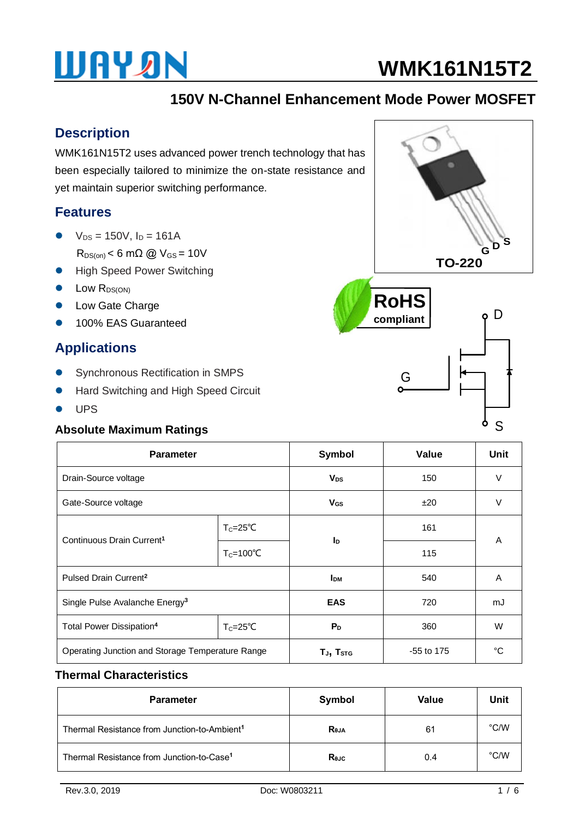# **WAYAN**

# **WMK161N15T2**

# **150V N-Channel Enhancement Mode Power MOSFET**

## **Description**

WMK161N15T2 uses advanced power trench technology that has been especially tailored to minimize the on-state resistance and yet maintain superior switching performance.

## **Features**

- $V_{DS} = 150V$ ,  $I_D = 161A$ 
	- $R_{DS(on)} < 6$  m $\Omega$  @  $V_{GS} = 10V$
- High Speed Power Switching
- $\bullet$  Low  $R_{DS(ON)}$
- Low Gate Charge
- 100% EAS Guaranteed

# **Applications**

- Synchronous Rectification in SMPS
- Hard Switching and High Speed Circuit
- UPS

#### **Absolute Maximum Ratings**

| <b>Parameter</b>                                 |                      | <b>Symbol</b>         | Value      | <b>Unit</b> |  |
|--------------------------------------------------|----------------------|-----------------------|------------|-------------|--|
| Drain-Source voltage                             |                      | <b>V<sub>DS</sub></b> | 150        | $\vee$      |  |
| Gate-Source voltage                              |                      | $V_{GS}$              | ±20        | V           |  |
| Continuous Drain Current <sup>1</sup>            | $T_c = 25^{\circ}C$  | <b>I</b> <sub>D</sub> | 161        |             |  |
|                                                  | $T_c = 100^{\circ}C$ |                       | 115        | A           |  |
| Pulsed Drain Current <sup>2</sup>                |                      | <b>IDM</b>            | 540        | A           |  |
| Single Pulse Avalanche Energy <sup>3</sup>       |                      | <b>EAS</b>            | 720        | mJ          |  |
| Total Power Dissipation <sup>4</sup>             | $T_c = 25^{\circ}C$  | P <sub>D</sub>        | 360        | W           |  |
| Operating Junction and Storage Temperature Range |                      | TJ, TSTG              | -55 to 175 | °C          |  |

#### **Thermal Characteristics**

| <b>Parameter</b>                                         | Symbol | Value | Unit |
|----------------------------------------------------------|--------|-------|------|
| Thermal Resistance from Junction-to-Ambient <sup>1</sup> | Reja   | 61    | °C/W |
| Thermal Resistance from Junction-to-Case <sup>1</sup>    | Rejc   | 0.4   | °C/W |



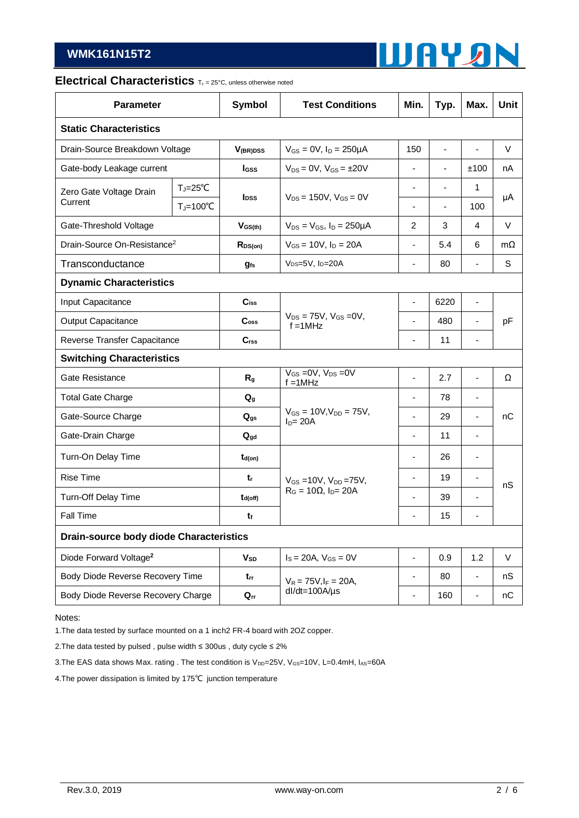

#### **Electrical Characteristics**  $T_c = 25^\circ$ C, unless otherwise noted

| <b>Parameter</b>                               |                                              | <b>Symbol</b>            | <b>Test Conditions</b>                          | Min.                     | Typ.                     | Max.                         | <b>Unit</b> |
|------------------------------------------------|----------------------------------------------|--------------------------|-------------------------------------------------|--------------------------|--------------------------|------------------------------|-------------|
| <b>Static Characteristics</b>                  |                                              |                          |                                                 |                          |                          |                              |             |
| Drain-Source Breakdown Voltage                 |                                              | $V_{(BR)DSS}$            | $V_{GS} = 0V$ , $I_D = 250 \mu A$               | 150                      | $\blacksquare$           |                              | V           |
| Gate-body Leakage current                      |                                              | lgss                     | $V_{DS} = 0V$ , $V_{GS} = \pm 20V$              |                          | $\frac{1}{2}$            | ±100                         | nA          |
| Zero Gate Voltage Drain<br>Current             | $T_J = 25$ °C                                | <b>I</b> pss             | $V_{DS} = 150V$ , $V_{GS} = 0V$                 | $\blacksquare$           | ä,                       | 1                            | μA          |
|                                                | $T_J = 100^{\circ}C$                         |                          |                                                 | $\blacksquare$           | $\overline{\phantom{0}}$ | 100                          |             |
| Gate-Threshold Voltage                         |                                              | $V_{GS(th)}$             | $V_{DS} = V_{GS}$ , $I_D = 250 \mu A$           | 2                        | 3                        | 4                            | V           |
| Drain-Source On-Resistance <sup>2</sup>        |                                              | $R_{DS(on)}$             | $V_{GS}$ = 10V, $I_D$ = 20A                     | ÷,                       | 5.4                      | 6                            | $m\Omega$   |
| Transconductance                               |                                              | gfs                      | V <sub>DS</sub> =5V, I <sub>D</sub> =20A        | $\overline{\phantom{a}}$ | 80                       | $\blacksquare$               | S           |
| <b>Dynamic Characteristics</b>                 |                                              |                          |                                                 |                          |                          |                              |             |
| Input Capacitance                              |                                              | $C_{iss}$                | $V_{DS} = 75V$ , $V_{GS} = 0V$ ,<br>$f = 1$ MHz | $\frac{1}{2}$            | 6220                     | $\qquad \qquad \blacksquare$ | pF          |
| Output Capacitance                             |                                              | C <sub>oss</sub>         |                                                 | $\blacksquare$           | 480                      | ÷                            |             |
| Reverse Transfer Capacitance                   |                                              | C <sub>rss</sub>         |                                                 | $\blacksquare$           | 11                       | $\overline{\phantom{0}}$     |             |
| <b>Switching Characteristics</b>               |                                              |                          |                                                 |                          |                          |                              |             |
| <b>Gate Resistance</b>                         |                                              | R <sub>g</sub>           | $V_{GS} = 0V$ , $V_{DS} = 0V$<br>$f = 1MHz$     |                          | 2.7                      | ÷,                           | Ω           |
| <b>Total Gate Charge</b>                       |                                              | $Q_g$                    | $V_{GS} = 10V, V_{DD} = 75V,$<br>$ID= 20A$      | $\blacksquare$           | 78                       | $\blacksquare$               | nС          |
| Gate-Source Charge                             |                                              | $\mathbf{Q}_{\text{gs}}$ |                                                 | $\overline{\phantom{0}}$ | 29                       | $\blacksquare$               |             |
| Gate-Drain Charge                              |                                              | $\mathbf{Q}_{\text{gd}}$ |                                                 |                          | 11                       | $\overline{a}$               |             |
| Turn-On Delay Time                             |                                              | $t_{d(on)}$              |                                                 |                          | 26                       | ÷                            |             |
| <b>Rise Time</b>                               | tr                                           |                          | $V_{GS} = 10V$ , $V_{DD} = 75V$ ,               | $\overline{\phantom{0}}$ | 19                       | $\blacksquare$               | nS          |
| <b>Turn-Off Delay Time</b>                     |                                              | $t_{d(off)}$             | $R_G = 10\Omega$ , $I_D = 20A$                  | $\blacksquare$           | 39                       | ÷                            |             |
| Fall Time                                      |                                              | tf                       |                                                 |                          | 15                       |                              |             |
| <b>Drain-source body diode Characteristics</b> |                                              |                          |                                                 |                          |                          |                              |             |
| Diode Forward Voltage <sup>2</sup>             |                                              | <b>V</b> sp              | $I_S = 20A$ , $V_{GS} = 0V$                     | ٠                        | 0.9                      | 1.2                          | V           |
|                                                | Body Diode Reverse Recovery Time<br>$t_{rr}$ |                          | $V_R = 75V, I_F = 20A,$                         | $\overline{\phantom{0}}$ | 80                       | $\blacksquare$               | nS          |
| Body Diode Reverse Recovery Charge<br>$Q_{rr}$ |                                              | $dl/dt = 100A/\mu s$     |                                                 | 160                      | $\overline{\phantom{a}}$ | nC                           |             |

Notes:

1.The data tested by surface mounted on a 1 inch2 FR-4 board with 2OZ copper.

2.The data tested by pulsed , pulse width ≤ 300us , duty cycle ≤ 2%

3. The EAS data shows Max. rating . The test condition is V<sub>DD</sub>=25V, V<sub>GS</sub>=10V, L=0.4mH, IAS=60A

4.The power dissipation is limited by 175℃ junction temperature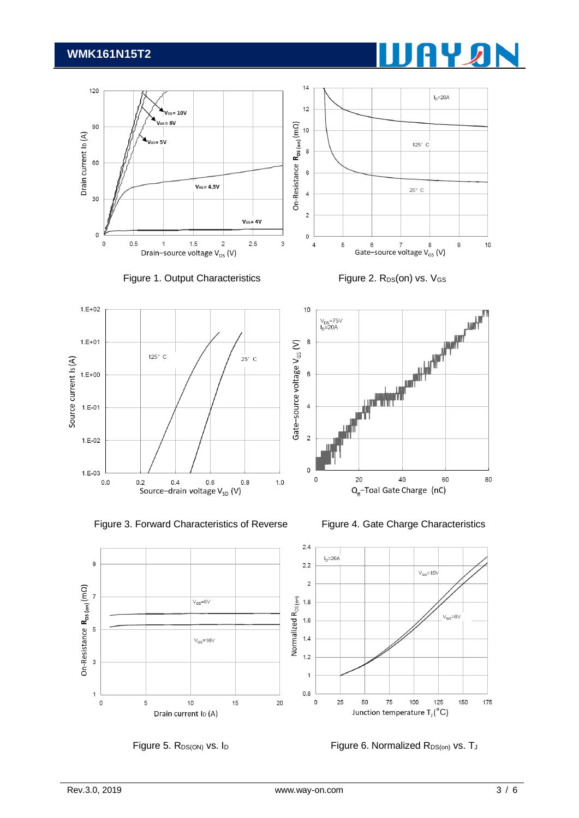#### **WMK161N15T2**





















Figure 5. RDS(ON) VS. ID Figure 6. Normalized RDS(On) VS. TJ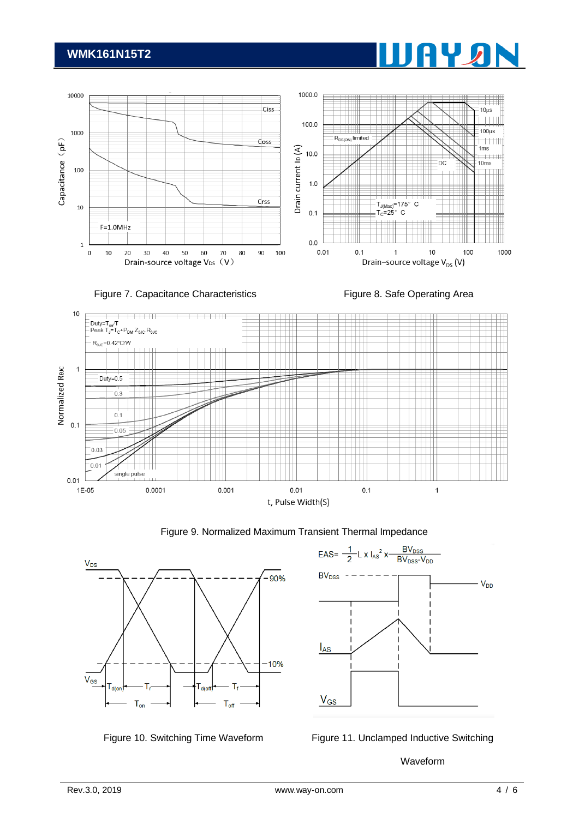## **WMK161N15T2**





Υ.











where the control of the control of the control of the control of the control of the control of the control of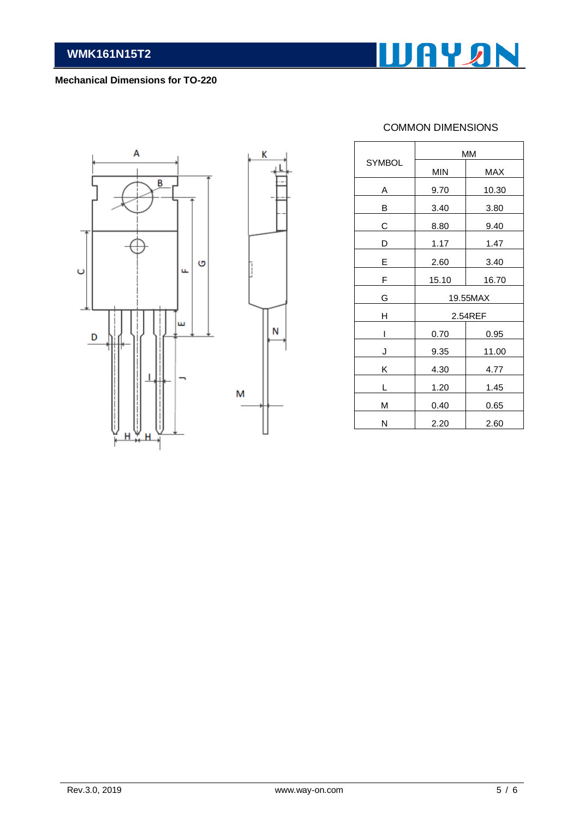

#### **Mechanical Dimensions for TO-220**





#### COMMON DIMENSIONS

|               | <b>MM</b> |       |  |  |
|---------------|-----------|-------|--|--|
| <b>SYMBOL</b> | MIN       | MAX   |  |  |
| Α             | 9.70      | 10.30 |  |  |
| В             | 3.40      | 3.80  |  |  |
| С             | 8.80      | 9.40  |  |  |
| D             | 1.17      | 1.47  |  |  |
| E             | 2.60      | 3.40  |  |  |
| F             | 15.10     | 16.70 |  |  |
| G             | 19.55MAX  |       |  |  |
| н             | 2.54REF   |       |  |  |
| ı             | 0.70      | 0.95  |  |  |
| J             | 9.35      | 11.00 |  |  |
| Κ             | 4.30      | 4.77  |  |  |
| L             | 1.20      | 1.45  |  |  |
| М             | 0.40      | 0.65  |  |  |
| Ν             | 2.20      | 2.60  |  |  |